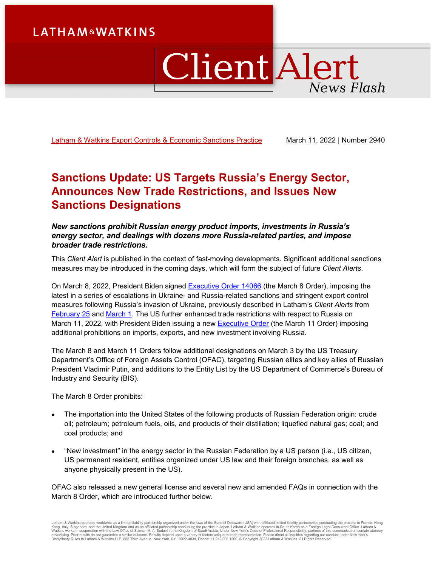# **LATHAM&WATKINS**

# ClientAlert News Flash

[Latham & Watkins Export Controls & Economic Sanctions Practice](https://www.lw.com/practices/ExportControlsAndEconomicSanctions) March 11, 2022 | Number 2940

# **Sanctions Update: US Targets Russia's Energy Sector, Announces New Trade Restrictions, and Issues New Sanctions Designations**

#### *New sanctions prohibit Russian energy product imports, investments in Russia's energy sector, and dealings with dozens more Russia-related parties, and impose broader trade restrictions.*

This *Client Alert* is published in the context of fast-moving developments. Significant additional sanctions measures may be introduced in the coming days, which will form the subject of future *Client Alerts*.

On March 8, 2022, President Biden signed **Executive Order 14066** (the March 8 Order), imposing the latest in a series of escalations in Ukraine- and Russia-related sanctions and stringent export control measures following Russia's invasion of Ukraine, previously described in Latham's *Client Alerts* from [February 25](https://www.lw.com/thoughtLeadership/sanctions-update-us-uk-eu-impose-sweeping-new-sanctions-relating-to-russia-and-ukraine) and [March 1.](https://www.lw.com/thoughtLeadership/Sanctions-Update-EU-UK-and-Japan-Impose-New-Sanctions-and-Export-Controls-Relating-to-Russia) The US further enhanced trade restrictions with respect to Russia on March 11, 2022, with President Biden issuing a new [Executive Order](https://www.whitehouse.gov/briefing-room/presidential-actions/2022/03/11/executive-order-on-prohibiting-certain-imports-exports-and-new-investment-with-respect-to-continued-russian-federation-aggression/) (the March 11 Order) imposing additional prohibitions on imports, exports, and new investment involving Russia.

The March 8 and March 11 Orders follow additional designations on March 3 by the US Treasury Department's Office of Foreign Assets Control (OFAC), targeting Russian elites and key allies of Russian President Vladimir Putin, and additions to the Entity List by the US Department of Commerce's Bureau of Industry and Security (BIS).

The March 8 Order prohibits:

- The importation into the United States of the following products of Russian Federation origin: crude oil; petroleum; petroleum fuels, oils, and products of their distillation; liquefied natural gas; coal; and coal products; and
- "New investment" in the energy sector in the Russian Federation by a US person (i.e., US citizen, US permanent resident, entities organized under US law and their foreign branches, as well as anyone physically present in the US).

OFAC also released a new general license and several new and amended FAQs in connection with the March 8 Order, which are introduced further below.

Latham & Watkins operates worldwide as a limited liability partnership organized under the laws of the State of Delaware (USA) with affiliated limited liability partnerships conducting the practice in France, Hong<br>Kong, It Disciplinary Rules to Latham & Watkins LLP, 885 Third Avenue, New York, NY 10022-4834, Phone: +1.212.906.1200. © Copyright 2022 Latham & Watkins. All Rights Reserved.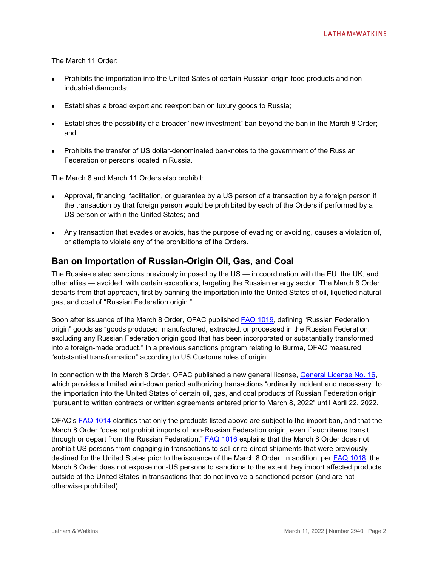The March 11 Order:

- Prohibits the importation into the United Sates of certain Russian-origin food products and nonindustrial diamonds;
- Establishes a broad export and reexport ban on luxury goods to Russia;
- Establishes the possibility of a broader "new investment" ban beyond the ban in the March 8 Order; and
- Prohibits the transfer of US dollar-denominated banknotes to the government of the Russian Federation or persons located in Russia.

The March 8 and March 11 Orders also prohibit:

- Approval, financing, facilitation, or guarantee by a US person of a transaction by a foreign person if the transaction by that foreign person would be prohibited by each of the Orders if performed by a US person or within the United States; and
- Any transaction that evades or avoids, has the purpose of evading or avoiding, causes a violation of, or attempts to violate any of the prohibitions of the Orders.

### **Ban on Importation of Russian-Origin Oil, Gas, and Coal**

The Russia-related sanctions previously imposed by the US — in coordination with the EU, the UK, and other allies — avoided, with certain exceptions, targeting the Russian energy sector. The March 8 Order departs from that approach, first by banning the importation into the United States of oil, liquefied natural gas, and coal of "Russian Federation origin."

Soon after issuance of the March 8 Order, OFAC published [FAQ 1019,](https://home.treasury.gov/policy-issues/financial-sanctions/faqs/1019) defining "Russian Federation origin" goods as "goods produced, manufactured, extracted, or processed in the Russian Federation, excluding any Russian Federation origin good that has been incorporated or substantially transformed into a foreign-made product." In a previous sanctions program relating to Burma, OFAC measured "substantial transformation" according to US Customs rules of origin.

In connection with the March 8 Order, OFAC published a new general license, [General License No. 16,](https://home.treasury.gov/system/files/126/russia_gl16.pdf) which provides a limited wind-down period authorizing transactions "ordinarily incident and necessary" to the importation into the United States of certain oil, gas, and coal products of Russian Federation origin "pursuant to written contracts or written agreements entered prior to March 8, 2022" until April 22, 2022.

OFAC's [FAQ 1014](https://home.treasury.gov/policy-issues/financial-sanctions/faqs/1014) clarifies that only the products listed above are subject to the import ban, and that the March 8 Order "does not prohibit imports of non-Russian Federation origin, even if such items transit through or depart from the Russian Federation." [FAQ 1016](https://home.treasury.gov/policy-issues/financial-sanctions/faqs/1016) explains that the March 8 Order does not prohibit US persons from engaging in transactions to sell or re-direct shipments that were previously destined for the United States prior to the issuance of the March 8 Order. In addition, per [FAQ 1018,](https://home.treasury.gov/policy-issues/financial-sanctions/faqs/1018) the March 8 Order does not expose non-US persons to sanctions to the extent they import affected products outside of the United States in transactions that do not involve a sanctioned person (and are not otherwise prohibited).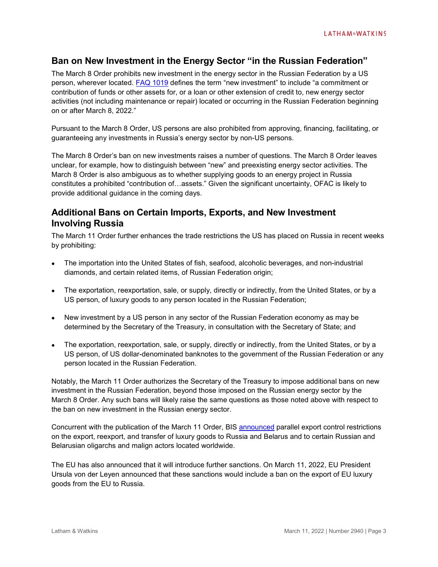## **Ban on New Investment in the Energy Sector "in the Russian Federation"**

The March 8 Order prohibits new investment in the energy sector in the Russian Federation by a US person, wherever located. [FAQ 1019](https://home.treasury.gov/policy-issues/financial-sanctions/faqs/1019) defines the term "new investment" to include "a commitment or contribution of funds or other assets for, or a loan or other extension of credit to, new energy sector activities (not including maintenance or repair) located or occurring in the Russian Federation beginning on or after March 8, 2022."

Pursuant to the March 8 Order, US persons are also prohibited from approving, financing, facilitating, or guaranteeing any investments in Russia's energy sector by non-US persons.

The March 8 Order's ban on new investments raises a number of questions. The March 8 Order leaves unclear, for example, how to distinguish between "new" and preexisting energy sector activities. The March 8 Order is also ambiguous as to whether supplying goods to an energy project in Russia constitutes a prohibited "contribution of…assets." Given the significant uncertainty, OFAC is likely to provide additional guidance in the coming days.

# **Additional Bans on Certain Imports, Exports, and New Investment Involving Russia**

The March 11 Order further enhances the trade restrictions the US has placed on Russia in recent weeks by prohibiting:

- The importation into the United States of fish, seafood, alcoholic beverages, and non-industrial diamonds, and certain related items, of Russian Federation origin;
- The exportation, reexportation, sale, or supply, directly or indirectly, from the United States, or by a US person, of luxury goods to any person located in the Russian Federation;
- New investment by a US person in any sector of the Russian Federation economy as may be determined by the Secretary of the Treasury, in consultation with the Secretary of State; and
- The exportation, reexportation, sale, or supply, directly or indirectly, from the United States, or by a US person, of US dollar-denominated banknotes to the government of the Russian Federation or any person located in the Russian Federation.

Notably, the March 11 Order authorizes the Secretary of the Treasury to impose additional bans on new investment in the Russian Federation, beyond those imposed on the Russian energy sector by the March 8 Order. Any such bans will likely raise the same questions as those noted above with respect to the ban on new investment in the Russian energy sector.

Concurrent with the publication of the March 11 Order, BIS [announced](https://www.commerce.gov/news/press-releases/2022/03/commerce-restricts-export-luxury-goods-russia-and-belarus-and-russian) parallel export control restrictions on the export, reexport, and transfer of luxury goods to Russia and Belarus and to certain Russian and Belarusian oligarchs and malign actors located worldwide.

The EU has also announced that it will introduce further sanctions. On March 11, 2022, EU President Ursula von der Leyen announced that these sanctions would include a ban on the export of EU luxury goods from the EU to Russia.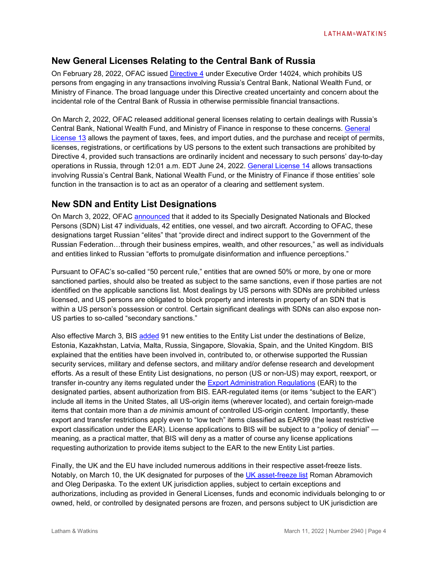## **New General Licenses Relating to the Central Bank of Russia**

On February 28, 2022, OFAC issued [Directive 4](https://home.treasury.gov/system/files/126/eo14024_directive_4_02282022.pdf) under Executive Order 14024, which prohibits US persons from engaging in any transactions involving Russia's Central Bank, National Wealth Fund, or Ministry of Finance. The broad language under this Directive created uncertainty and concern about the incidental role of the Central Bank of Russia in otherwise permissible financial transactions.

On March 2, 2022, OFAC released additional general licenses relating to certain dealings with Russia's Central Bank, National Wealth Fund, and Ministry of Finance in response to these concerns. [General](https://home.treasury.gov/system/files/126/russia_gl13.pdf)  [License 13](https://home.treasury.gov/system/files/126/russia_gl13.pdf) allows the payment of taxes, fees, and import duties, and the purchase and receipt of permits, licenses, registrations, or certifications by US persons to the extent such transactions are prohibited by Directive 4, provided such transactions are ordinarily incident and necessary to such persons' day-to-day operations in Russia, through 12:01 a.m. EDT June 24, 2022. [General License 14](https://home.treasury.gov/system/files/126/russia_gl14.pdf) allows transactions involving Russia's Central Bank, National Wealth Fund, or the Ministry of Finance if those entities' sole function in the transaction is to act as an operator of a clearing and settlement system.

# **New SDN and Entity List Designations**

On March 3, 2022, OFAC [announced](https://home.treasury.gov/news/press-releases/jy0628) that it added to its Specially Designated Nationals and Blocked Persons (SDN) List 47 individuals, 42 entities, one vessel, and two aircraft. According to OFAC, these designations target Russian "elites" that "provide direct and indirect support to the Government of the Russian Federation…through their business empires, wealth, and other resources," as well as individuals and entities linked to Russian "efforts to promulgate disinformation and influence perceptions."

Pursuant to OFAC's so-called "50 percent rule," entities that are owned 50% or more, by one or more sanctioned parties, should also be treated as subject to the same sanctions, even if those parties are not identified on the applicable sanctions list. Most dealings by US persons with SDNs are prohibited unless licensed, and US persons are obligated to block property and interests in property of an SDN that is within a US person's possession or control. Certain significant dealings with SDNs can also expose non-US parties to so-called "secondary sanctions."

Also effective March 3, BIS [added](https://public-inspection.federalregister.gov/2022-04925.pdf) 91 new entities to the Entity List under the destinations of Belize, Estonia, Kazakhstan, Latvia, Malta, Russia, Singapore, Slovakia, Spain, and the United Kingdom. BIS explained that the entities have been involved in, contributed to, or otherwise supported the Russian security services, military and defense sectors, and military and/or defense research and development efforts. As a result of these Entity List designations, no person (US or non-US) may export, reexport, or transfer in-country any items regulated under the [Export Administration Regulations](https://www.ecfr.gov/current/title-15/subtitle-B/chapter-VII/subchapter-C) (EAR) to the designated parties, absent authorization from BIS. EAR-regulated items (or items "subject to the EAR") include all items in the United States, all US-origin items (wherever located), and certain foreign-made items that contain more than a *de minimis* amount of controlled US-origin content. Importantly, these export and transfer restrictions apply even to "low tech" items classified as EAR99 (the least restrictive export classification under the EAR). License applications to BIS will be subject to a "policy of denial" meaning, as a practical matter, that BIS will deny as a matter of course any license applications requesting authorization to provide items subject to the EAR to the new Entity List parties.

Finally, the UK and the EU have included numerous additions in their respective asset-freeze lists. Notably, on March 10, the UK designated for purposes of the [UK asset-freeze list](https://ofsistorage.blob.core.windows.net/publishlive/2022format/ConList.pdf) Roman Abramovich and Oleg Deripaska. To the extent UK jurisdiction applies, subject to certain exceptions and authorizations, including as provided in General Licenses, funds and economic individuals belonging to or owned, held, or controlled by designated persons are frozen, and persons subject to UK jurisdiction are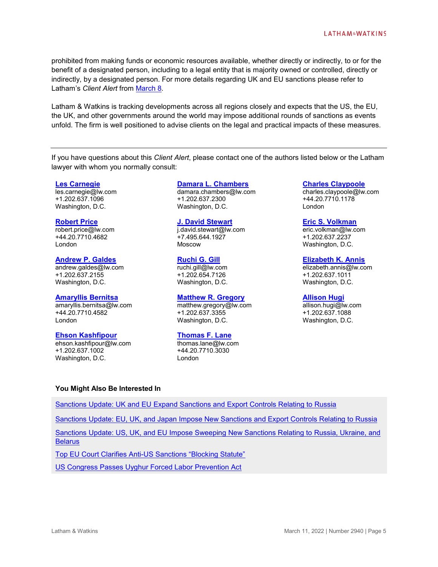prohibited from making funds or economic resources available, whether directly or indirectly, to or for the benefit of a designated person, including to a legal entity that is majority owned or controlled, directly or indirectly, by a designated person. For more details regarding UK and EU sanctions please refer to Latham's *Client Alert* from [March](https://www.lw.com/thoughtLeadership/Sanctions-Update-UK-and-EU-Expand-Sanctions-and-Export-Controls-Relating-to-Russia) 8.

Latham & Watkins is tracking developments across all regions closely and expects that the US, the EU, the UK, and other governments around the world may impose additional rounds of sanctions as events unfold. The firm is well positioned to advise clients on the legal and practical impacts of these measures.

If you have questions about this *Client Alert*, please contact one of the authors listed below or the Latham lawyer with whom you normally consult:

#### **[Les Carnegie](https://www.lw.com/people/les-carnegie)**

les.carnegie@lw.com +1.202.637.1096 Washington, D.C.

#### **[Robert Price](https://www.lw.com/people/robert-price)**

robert.price@lw.com +44.20.7710.4682 London

#### **[Andrew P. Galdes](https://www.lw.com/people/andrew-galdes)**

andrew.galdes@lw.com +1.202.637.2155 Washington, D.C.

#### **[Amaryllis Bernitsa](https://www.lw.com/people/amaryllis-bernitsa)**

amaryllis.bernitsa@lw.com +44.20.7710.4582 London

#### **[Ehson Kashfipour](https://www.lw.com/people/ehson-kashfipour)**

ehson.kashfipour@lw.com +1.202.637.1002 Washington, D.C.

#### **[Damara L. Chambers](https://www.lw.com/people/damara-chambers)**

damara.chambers@lw.com +1.202.637.2300 Washington, D.C.

#### **[J. David Stewart](https://www.lw.com/people/j-david-stewart)**

j.david.stewart@lw.com +7.495.644.1927 Moscow

#### **[Ruchi G. Gill](https://www.lw.com/people/ruchi-gill)**

ruchi.gill@lw.com +1.202.654.7126 Washington, D.C.

#### **[Matthew R. Gregory](https://www.lw.com/people/matthew-gregory)** matthew.gregory@lw.com

+1.202.637.3355 Washington, D.C.

#### **[Thomas F. Lane](https://www.lw.com/people/thomas-lane)**

thomas.lane@lw.com +44.20.7710.3030 London

#### **[Charles Claypoole](https://www.lw.com/people/charles-claypoole)**

charles.claypoole@lw.com +44.20.7710.1178 London

#### **[Eric S. Volkman](https://www.lw.com/people/eric-volkman)**

eric.volkman@lw.com +1.202.637.2237 Washington, D.C.

#### **[Elizabeth K. Annis](https://www.lw.com/people/elizabeth-annis)**

elizabeth.annis@lw.com +1.202.637.1011 Washington, D.C.

#### **[Allison Hugi](https://www.lw.com/people/allison-hugi)**

allison.hugi@lw.com +1.202.637.1088 Washington, D.C.

#### **You Might Also Be Interested In**

[Sanctions Update: UK and EU Expand Sanctions and Export Controls Relating to Russia](http://www.lw.com/thoughtLeadership/Sanctions-Update-UK-and-EU-Expand-Sanctions-and-Export-Controls-Relating-to-Russia)

Sanctions Update: EU, UK, and [Japan Impose New Sanctions and Export Controls Relating to Russia](https://www.lw.com/thoughtLeadership/Sanctions-Update-EU-UK-and-Japan-Impose-New-Sanctions-and-Export-Controls-Relating-to-Russia)

[Sanctions Update: US, UK, and EU Impose Sweeping](https://www.lw.com/thoughtLeadership/sanctions-update-us-uk-eu-impose-sweeping-new-sanctions-relating-to-russia-and-ukraine) New Sanctions Relating to Russia, Ukraine, and **[Belarus](https://www.lw.com/thoughtLeadership/sanctions-update-us-uk-eu-impose-sweeping-new-sanctions-relating-to-russia-and-ukraine)** 

[Top EU Court Clarifies Anti-US Sanctions "Blocking Statute"](https://www.lw.com/thoughtLeadership/Top-EU-Court-Clarifies-Anti-US-Sanctions-Blocking-Statute)

[US Congress Passes Uyghur Forced Labor Prevention Act](https://www.globalelr.com/2021/12/us-house-of-representatives-passes-uyghur-forced-labor-prevention-act/)